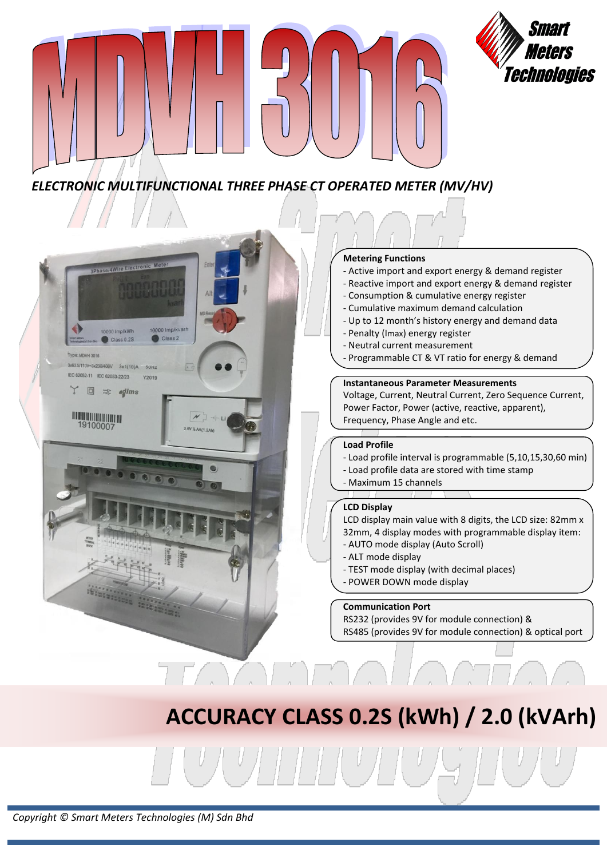

## *ELECTRONIC MULTIFUNCTIONAL THREE PHASE CT OPERATED METER (MV/HV)*



## **Metering Functions**

- Active import and export energy & demand register

Meters

Technologies

- Reactive import and export energy & demand register
- Consumption & cumulative energy register
- Cumulative maximum demand calculation
- Up to 12 month's history energy and demand data
- Penalty (Imax) energy register
- Neutral current measurement
- Programmable CT & VT ratio for energy & demand

## **Instantaneous Parameter Measurements**

Voltage, Current, Neutral Current, Zero Sequence Current, Power Factor, Power (active, reactive, apparent), Frequency, Phase Angle and etc.

### **Load Profile**

- Load profile interval is programmable (5,10,15,30,60 min)
- Load profile data are stored with time stamp
- Maximum 15 channels

## **LCD Display**

LCD display main value with 8 digits, the LCD size: 82mm x 32mm, 4 display modes with programmable display item:

- AUTO mode display (Auto Scroll)
- ALT mode display
- TEST mode display (with decimal places)
- POWER DOWN mode display

## **Communication Port**

RS232 (provides 9V for module connection) & RS485 (provides 9V for module connection) & optical port

## **ACCURACY CLASS 0.2S (kWh) / 2.0 (kVArh)**